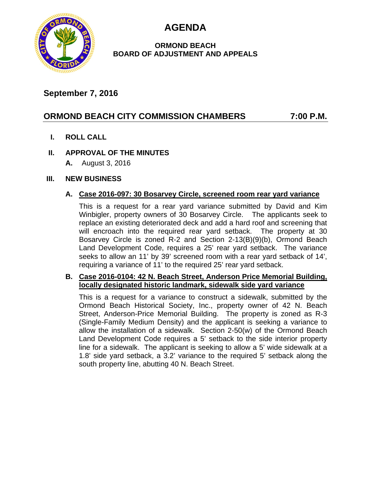**AGENDA**



### **ORMOND BEACH BOARD OF ADJUSTMENT AND APPEALS**

## **September 7, 2016**

# **ORMOND BEACH CITY COMMISSION CHAMBERS 7:00 P.M.**

**I. ROLL CALL**

### **II. APPROVAL OF THE MINUTES**

**A.** August 3, 2016

#### **III. NEW BUSINESS**

#### **A. Case 2016-097: 30 Bosarvey Circle, screened room rear yard variance**

This is a request for a rear yard variance submitted by David and Kim Winbigler, property owners of 30 Bosarvey Circle. The applicants seek to replace an existing deteriorated deck and add a hard roof and screening that will encroach into the required rear yard setback. The property at 30 Bosarvey Circle is zoned R-2 and Section 2-13(B)(9)(b), Ormond Beach Land Development Code, requires a 25' rear yard setback. The variance seeks to allow an 11' by 39' screened room with a rear yard setback of 14', requiring a variance of 11' to the required 25' rear yard setback.

#### **B. Case 2016-0104: 42 N. Beach Street, Anderson Price Memorial Building, locally designated historic landmark, sidewalk side yard variance**

This is a request for a variance to construct a sidewalk, submitted by the Ormond Beach Historical Society, Inc., property owner of 42 N. Beach Street, Anderson-Price Memorial Building. The property is zoned as R-3 (Single-Family Medium Density) and the applicant is seeking a variance to allow the installation of a sidewalk. Section 2-50(w) of the Ormond Beach Land Development Code requires a 5' setback to the side interior property line for a sidewalk. The applicant is seeking to allow a 5' wide sidewalk at a 1.8' side yard setback, a 3.2' variance to the required 5' setback along the south property line, abutting 40 N. Beach Street.